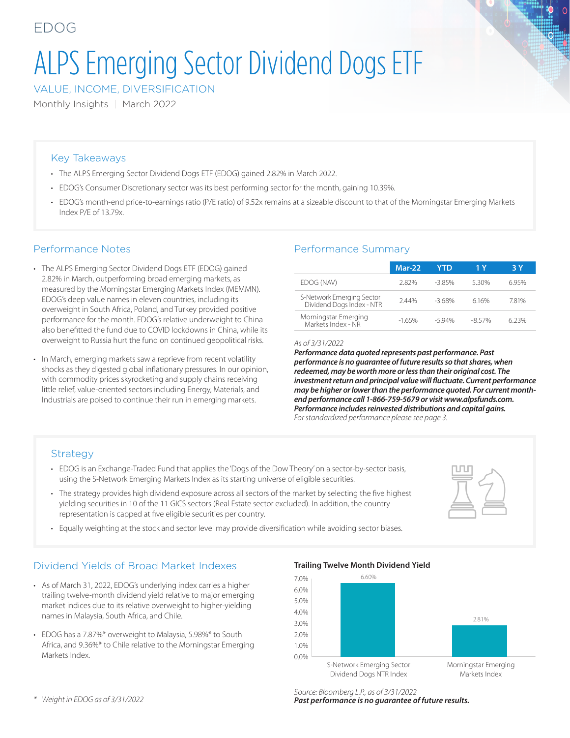# ALPS Emerging Sector Dividend Dogs ETF

VALUE, INCOME, DIVERSIFICATION

Monthly Insights | March 2022

#### Key Takeaways

- The ALPS Emerging Sector Dividend Dogs ETF (EDOG) gained 2.82% in March 2022.
- EDOG's Consumer Discretionary sector was its best performing sector for the month, gaining 10.39%.
- EDOG's month-end price-to-earnings ratio (P/E ratio) of 9.52x remains at a sizeable discount to that of the Morningstar Emerging Markets Index P/E of 13.79x.

#### Performance Notes

- The ALPS Emerging Sector Dividend Dogs ETF (EDOG) gained 2.82% in March, outperforming broad emerging markets, as measured by the Morningstar Emerging Markets Index (MEMMN). EDOG's deep value names in eleven countries, including its overweight in South Africa, Poland, and Turkey provided positive performance for the month. EDOG's relative underweight to China also benefitted the fund due to COVID lockdowns in China, while its overweight to Russia hurt the fund on continued geopolitical risks.
- In March, emerging markets saw a reprieve from recent volatility shocks as they digested global inflationary pressures. In our opinion, with commodity prices skyrocketing and supply chains receiving little relief, value-oriented sectors including Energy, Materials, and Industrials are poised to continue their run in emerging markets.

## Performance Summary

|                                                        | Mar-22  | YTD.    | 1 Y      | 3 Y  |  |  |
|--------------------------------------------------------|---------|---------|----------|------|--|--|
| EDOG (NAV)                                             | 282%    | $-385%$ | 530%     | 695% |  |  |
| S-Network Emerging Sector<br>Dividend Dogs Index - NTR | 244%    | $-368%$ | 616%     | 781% |  |  |
| Morningstar Emerging<br>Markets Index - NR             | $-165%$ | $-594%$ | $-857\%$ | 623% |  |  |

#### *As of 3/31/2022*

*Performance data quoted represents past performance. Past performance is no guarantee of future results so that shares, when redeemed, may be worth more or less than their original cost. The investment return and principal value will fluctuate. Current performance may be higher or lower than the performance quoted. For current monthend performance call 1-866-759-5679 or visit www.alpsfunds.com. Performance includes reinvested distributions and capital gains. For standardized performance please see page 3.*

#### **Strategy**

- EDOG is an Exchange-Traded Fund that applies the 'Dogs of the Dow Theory' on a sector-by-sector basis, using the S-Network Emerging Markets Index as its starting universe of eligible securities.
- The strategy provides high dividend exposure across all sectors of the market by selecting the five highest yielding securities in 10 of the 11 GICS sectors (Real Estate sector excluded). In addition, the country representation is capped at five eligible securities per country.
- Equally weighting at the stock and sector level may provide diversification while avoiding sector biases.

## Dividend Yields of Broad Market Indexes

- As of March 31, 2022, EDOG's underlying index carries a higher trailing twelve-month dividend yield relative to major emerging market indices due to its relative overweight to higher-yielding names in Malaysia, South Africa, and Chile.
- EDOG has a 7.87%\* overweight to Malaysia, 5.98%\* to South Africa, and 9.36%\* to Chile relative to the Morningstar Emerging Markets Index.

**Trailing Twelve Month Dividend Yield** S-Network Emerging Sector Dividend Dogs NTR Index 6.60% 2.81% Morningstar Emerging Markets Index 0.0% 1.0% 2.0% 3.0% 4.0% 5.0% 6.0% 7.0%

*\* Weight in EDOG as of 3/31/2022*

*Source: Bloomberg L.P., as of 3/31/2022 Past performance is no guarantee of future results.*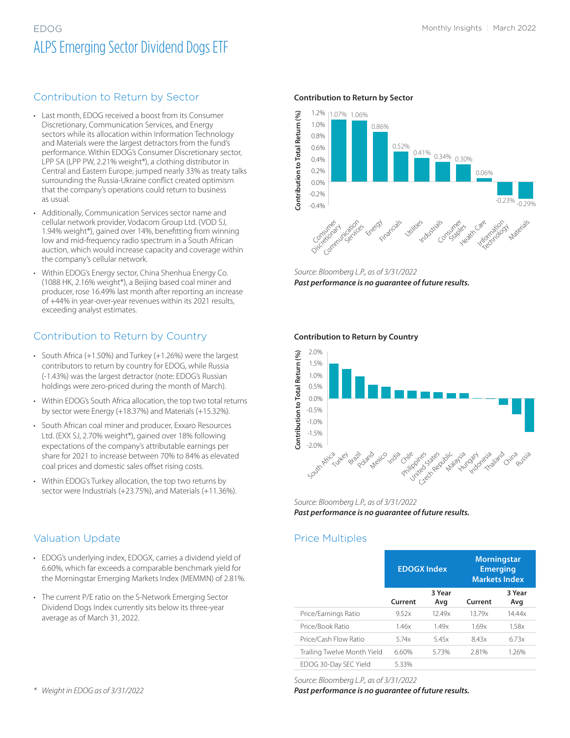# EDOG Monthly Insights | March 2022 ALPS Emerging Sector Dividend Dogs ETF

#### Contribution to Return by Sector

- Last month, EDOG received a boost from its Consumer Discretionary, Communication Services, and Energy sectors while its allocation within Information Technology and Materials were the largest detractors from the fund's performance. Within EDOG's Consumer Discretionary sector, LPP SA (LPP PW, 2.21% weight\*), a clothing distributor in Central and Eastern Europe, jumped nearly 33% as treaty talks surrounding the Russia-Ukraine conflict created optimism that the company's operations could return to business as usual.
- Additionally, Communication Services sector name and cellular network provider, Vodacom Group Ltd. (VOD SJ, 1.94% weight\*), gained over 14%, benefitting from winning low and mid-frequency radio spectrum in a South African auction, which would increase capacity and coverage within the company's cellular network.
- Within EDOG's Energy sector, China Shenhua Energy Co. (1088 HK, 2.16% weight\*), a Beijing based coal miner and producer, rose 16.49% last month after reporting an increase of +44% in year-over-year revenues within its 2021 results, exceeding analyst estimates.

## Contribution to Return by Country

- South Africa (+1.50%) and Turkey (+1.26%) were the largest contributors to return by country for EDOG, while Russia (-1.43%) was the largest detractor (note: EDOG's Russian holdings were zero-priced during the month of March).
- Within EDOG's South Africa allocation, the top two total returns by sector were Energy (+18.37%) and Materials (+15.32%).
- South African coal miner and producer, Exxaro Resources Ltd. (EXX SJ, 2.70% weight\*), gained over 18% following expectations of the company's attributable earnings per share for 2021 to increase between 70% to 84% as elevated coal prices and domestic sales offset rising costs.
- Within EDOG's Turkey allocation, the top two returns by sector were Industrials (+23.75%), and Materials (+11.36%).

## Valuation Update

- EDOG's underlying index, EDOGX, carries a dividend yield of 6.60%, which far exceeds a comparable benchmark yield for the Morningstar Emerging Markets Index (MEMMN) of 2.81%.
- The current P/E ratio on the S-Network Emerging Sector Dividend Dogs Index currently sits below its three-year average as of March 31, 2022.

#### **Contribution to Return by Sector**



*Source: Bloomberg L.P., as of 3/31/2022 Past performance is no guarantee of future results.*

#### **Contribution to Return by Country**



*Source: Bloomberg L.P., as of 3/31/2022 Past performance is no guarantee of future results.*

#### Price Multiples

|                             | <b>EDOGX Index</b> |               | <b>Morningstar</b><br><b>Emerging</b><br><b>Markets Index</b> |               |  |  |
|-----------------------------|--------------------|---------------|---------------------------------------------------------------|---------------|--|--|
|                             | Current            | 3 Year<br>Avg | Current                                                       | 3 Year<br>Avg |  |  |
| Price/Earnings Ratio        | 9.52x              | 12.49x        | 13.79x                                                        | 14.44x        |  |  |
| Price/Book Ratio            | 1.46x              | 1.49x         | 1.69x                                                         | 1.58x         |  |  |
| Price/Cash Flow Ratio       | 5.74x              | 5.45x         | 8.43x                                                         | 6.73x         |  |  |
| Trailing Twelve Month Yield | 6.60%              | 5.73%         | 2.81%                                                         | 1.26%         |  |  |
| EDOG 30-Day SEC Yield       | 5.33%              |               |                                                               |               |  |  |

*Source: Bloomberg L.P., as of 3/31/2022*

*Past performance is no guarantee of future results.*

*\* Weight in EDOG as of 3/31/2022*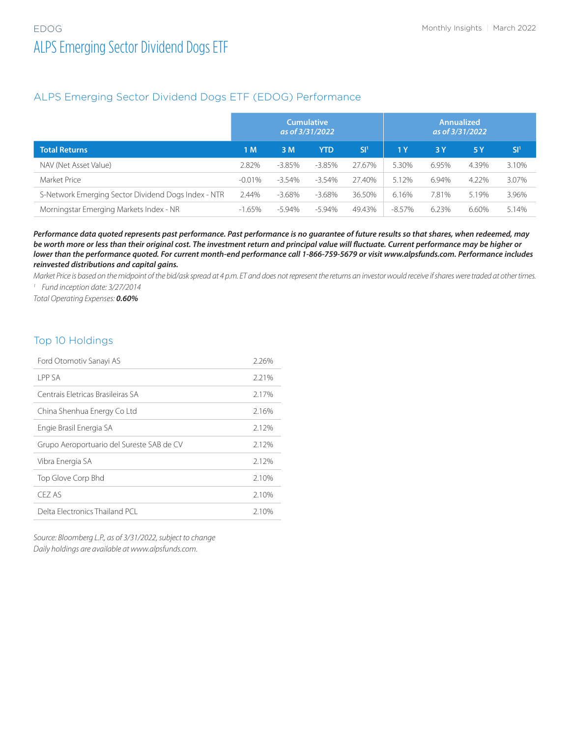## ALPS Emerging Sector Dividend Dogs ETF (EDOG) Performance

|                                                     | <b>Cumulative</b><br>as of 3/31/2022 |           |            | <b>Annualized</b><br>as of 3/31/2022 |           |       |       |                 |
|-----------------------------------------------------|--------------------------------------|-----------|------------|--------------------------------------|-----------|-------|-------|-----------------|
| <b>Total Returns</b>                                | 1 M                                  | 3M        | <b>YTD</b> | SI <sup>1</sup>                      | 1 Y       | 3Y    | 5 Y   | SI <sup>1</sup> |
| NAV (Net Asset Value)                               | 2.82%                                | $-3.85%$  | $-3.85\%$  | 27.67%                               | 5.30%     | 6.95% | 4.39% | 3.10%           |
| Market Price                                        | $-0.01%$                             | $-3.54\%$ | $-3.54\%$  | 27.40%                               | 5.12%     | 6.94% | 4.22% | 3.07%           |
| S-Network Emerging Sector Dividend Dogs Index - NTR | 2.44%                                | $-3.68\%$ | -3.68%     | 36.50%                               | 6.16%     | 7.81% | 5.19% | 3.96%           |
| Morningstar Emerging Markets Index - NR             | $-1.65%$                             | -5.94%    | -5.94%     | 49.43%                               | $-8.57\%$ | 6.23% | 6.60% | 5.14%           |

*Performance data quoted represents past performance. Past performance is no guarantee of future results so that shares, when redeemed, may be worth more or less than their original cost. The investment return and principal value will fluctuate. Current performance may be higher or lower than the performance quoted. For current month-end performance call 1-866-759-5679 or visit www.alpsfunds.com. Performance includes reinvested distributions and capital gains.*

*Market Price is based on the midpoint of the bid/ask spread at 4 p.m. ET and does not represent the returns an investor would receive if shares were traded at other times. <sup>1</sup> Fund inception date: 3/27/2014*

*Total Operating Expenses: 0.60%*

#### Top 10 Holdings

| Ford Otomotiv Sanayi AS                   | 2.26% |
|-------------------------------------------|-------|
| I PP SA                                   | 2.21% |
| Centrais Eletricas Brasileiras SA         | 2.17% |
| China Shenhua Energy Co Ltd               | 2.16% |
| Engie Brasil Energia SA                   | 2.12% |
| Grupo Aeroportuario del Sureste SAB de CV | 2.12% |
| Vibra Energia SA                          | 2.12% |
| Top Glove Corp Bhd                        | 2.10% |
| CEZ AS                                    | 2.10% |
| Delta Electronics Thailand PCL            | 2.10% |

*Source: Bloomberg L.P., as of 3/31/2022, subject to change Daily holdings are available at www.alpsfunds.com.*